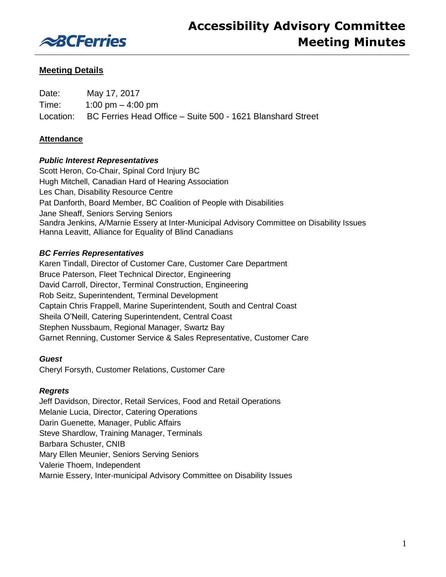

# **Meeting Details**

| Date: | May 17, 2017                                                         |
|-------|----------------------------------------------------------------------|
| Time: | 1:00 pm $-$ 4:00 pm                                                  |
|       | Location: BC Ferries Head Office - Suite 500 - 1621 Blanshard Street |

## **Attendance**

## *Public Interest Representatives*

Scott Heron, Co-Chair, Spinal Cord Injury BC Hugh Mitchell, Canadian Hard of Hearing Association Les Chan, Disability Resource Centre Pat Danforth, Board Member, BC Coalition of People with Disabilities Jane Sheaff, Seniors Serving Seniors Sandra Jenkins, A/Marnie Essery at Inter-Municipal Advisory Committee on Disability Issues Hanna Leavitt, Alliance for Equality of Blind Canadians

## *BC Ferries Representatives*

Karen Tindall, Director of Customer Care, Customer Care Department Bruce Paterson, Fleet Technical Director, Engineering David Carroll, Director, Terminal Construction, Engineering Rob Seitz, Superintendent, Terminal Development Captain Chris Frappell, Marine Superintendent, South and Central Coast Sheila O'Neill, Catering Superintendent, Central Coast Stephen Nussbaum, Regional Manager, Swartz Bay Garnet Renning, Customer Service & Sales Representative, Customer Care

## *Guest*

Cheryl Forsyth, Customer Relations, Customer Care

## *Regrets*

Jeff Davidson, Director, Retail Services, Food and Retail Operations Melanie Lucia, Director, Catering Operations Darin Guenette, Manager, Public Affairs Steve Shardlow, Training Manager, Terminals Barbara Schuster, CNIB Mary Ellen Meunier, Seniors Serving Seniors Valerie Thoem, Independent Marnie Essery, Inter-municipal Advisory Committee on Disability Issues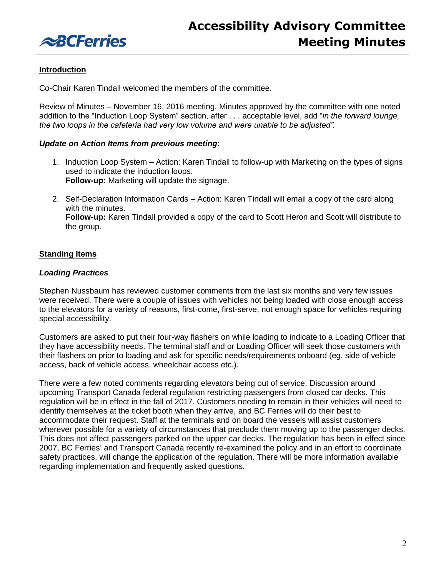

## **Introduction**

Co-Chair Karen Tindall welcomed the members of the committee.

Review of Minutes – November 16, 2016 meeting. Minutes approved by the committee with one noted addition to the "Induction Loop System" section, after . . . acceptable level, add "*in the forward lounge, the two loops in the cafeteria had very low volume and were unable to be adjusted".*

### *Update on Action Items from previous meeting*:

- 1. Induction Loop System Action: Karen Tindall to follow-up with Marketing on the types of signs used to indicate the induction loops. **Follow-up:** Marketing will update the signage.
- 2. Self-Declaration Information Cards Action: Karen Tindall will email a copy of the card along with the minutes. **Follow-up:** Karen Tindall provided a copy of the card to Scott Heron and Scott will distribute to the group.

## **Standing Items**

### *Loading Practices*

Stephen Nussbaum has reviewed customer comments from the last six months and very few issues were received. There were a couple of issues with vehicles not being loaded with close enough access to the elevators for a variety of reasons, first-come, first-serve, not enough space for vehicles requiring special accessibility.

Customers are asked to put their four-way flashers on while loading to indicate to a Loading Officer that they have accessibility needs. The terminal staff and or Loading Officer will seek those customers with their flashers on prior to loading and ask for specific needs/requirements onboard (eg. side of vehicle access, back of vehicle access, wheelchair access etc.).

There were a few noted comments regarding elevators being out of service. Discussion around upcoming Transport Canada federal regulation restricting passengers from closed car decks. This regulation will be in effect in the fall of 2017. Customers needing to remain in their vehicles will need to identify themselves at the ticket booth when they arrive, and BC Ferries will do their best to accommodate their request. Staff at the terminals and on board the vessels will assist customers wherever possible for a variety of circumstances that preclude them moving up to the passenger decks. This does not affect passengers parked on the upper car decks. The regulation has been in effect since 2007, BC Ferries' and Transport Canada recently re-examined the policy and in an effort to coordinate safety practices, will change the application of the regulation. There will be more information available regarding implementation and frequently asked questions.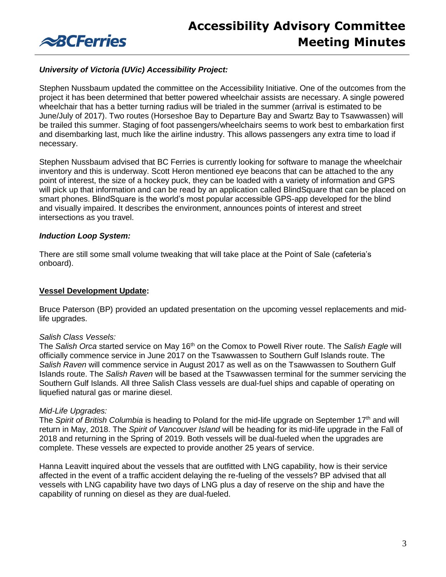

## *University of Victoria (UVic) Accessibility Project:*

Stephen Nussbaum updated the committee on the Accessibility Initiative. One of the outcomes from the project it has been determined that better powered wheelchair assists are necessary. A single powered wheelchair that has a better turning radius will be trialed in the summer (arrival is estimated to be June/July of 2017). Two routes (Horseshoe Bay to Departure Bay and Swartz Bay to Tsawwassen) will be trailed this summer. Staging of foot passengers/wheelchairs seems to work best to embarkation first and disembarking last, much like the airline industry. This allows passengers any extra time to load if necessary.

Stephen Nussbaum advised that BC Ferries is currently looking for software to manage the wheelchair inventory and this is underway. Scott Heron mentioned eye beacons that can be attached to the any point of interest, the size of a hockey puck, they can be loaded with a variety of information and GPS will pick up that information and can be read by an application called BlindSquare that can be placed on smart phones. BlindSquare is the world's most popular accessible GPS-app developed for the blind and visually impaired. It describes the environment, announces points of interest and street intersections as you travel.

### *Induction Loop System:*

There are still some small volume tweaking that will take place at the Point of Sale (cafeteria's onboard).

#### **Vessel Development Update:**

Bruce Paterson (BP) provided an updated presentation on the upcoming vessel replacements and midlife upgrades.

#### *Salish Class Vessels:*

The *Salish Orca* started service on May 16th on the Comox to Powell River route. The *Salish Eagle* will officially commence service in June 2017 on the Tsawwassen to Southern Gulf Islands route. The *Salish Raven* will commence service in August 2017 as well as on the Tsawwassen to Southern Gulf Islands route. The *Salish Raven* will be based at the Tsawwassen terminal for the summer servicing the Southern Gulf Islands. All three Salish Class vessels are dual-fuel ships and capable of operating on liquefied natural gas or marine diesel.

#### *Mid-Life Upgrades:*

The Spirit of British Columbia is heading to Poland for the mid-life upgrade on September 17<sup>th</sup> and will return in May, 2018. The *Spirit of Vancouver Island* will be heading for its mid-life upgrade in the Fall of 2018 and returning in the Spring of 2019. Both vessels will be dual-fueled when the upgrades are complete. These vessels are expected to provide another 25 years of service.

Hanna Leavitt inquired about the vessels that are outfitted with LNG capability, how is their service affected in the event of a traffic accident delaying the re-fueling of the vessels? BP advised that all vessels with LNG capability have two days of LNG plus a day of reserve on the ship and have the capability of running on diesel as they are dual-fueled.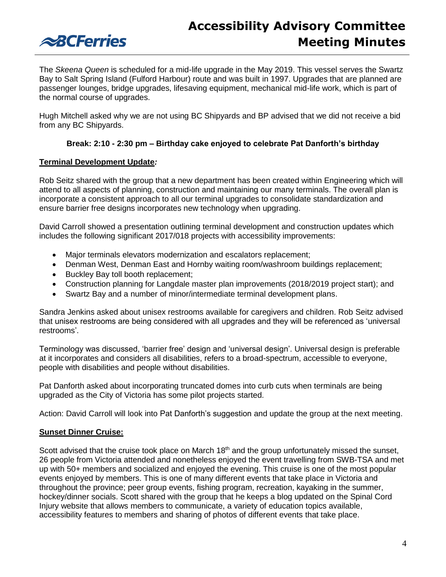

The *Skeena Queen* is scheduled for a mid-life upgrade in the May 2019. This vessel serves the Swartz Bay to Salt Spring Island (Fulford Harbour) route and was built in 1997. Upgrades that are planned are passenger lounges, bridge upgrades, lifesaving equipment, mechanical mid-life work, which is part of the normal course of upgrades.

Hugh Mitchell asked why we are not using BC Shipyards and BP advised that we did not receive a bid from any BC Shipyards.

## **Break: 2:10 - 2:30 pm – Birthday cake enjoyed to celebrate Pat Danforth's birthday**

## **Terminal Development Update***:*

Rob Seitz shared with the group that a new department has been created within Engineering which will attend to all aspects of planning, construction and maintaining our many terminals. The overall plan is incorporate a consistent approach to all our terminal upgrades to consolidate standardization and ensure barrier free designs incorporates new technology when upgrading.

David Carroll showed a presentation outlining terminal development and construction updates which includes the following significant 2017/018 projects with accessibility improvements:

- Major terminals elevators modernization and escalators replacement;
- Denman West, Denman East and Hornby waiting room/washroom buildings replacement;
- Buckley Bay toll booth replacement;
- Construction planning for Langdale master plan improvements (2018/2019 project start); and
- Swartz Bay and a number of minor/intermediate terminal development plans.

Sandra Jenkins asked about unisex restrooms available for caregivers and children. Rob Seitz advised that unisex restrooms are being considered with all upgrades and they will be referenced as 'universal restrooms'.

Terminology was discussed, 'barrier free' design and 'universal design'. Universal design is preferable at it incorporates and considers all disabilities, refers to a broad-spectrum, accessible to everyone, people with disabilities and people without disabilities.

Pat Danforth asked about incorporating truncated domes into curb cuts when terminals are being upgraded as the City of Victoria has some pilot projects started.

Action: David Carroll will look into Pat Danforth's suggestion and update the group at the next meeting.

## **Sunset Dinner Cruise:**

Scott advised that the cruise took place on March 18<sup>th</sup> and the group unfortunately missed the sunset, 26 people from Victoria attended and nonetheless enjoyed the event travelling from SWB-TSA and met up with 50+ members and socialized and enjoyed the evening. This cruise is one of the most popular events enjoyed by members. This is one of many different events that take place in Victoria and throughout the province; peer group events, fishing program, recreation, kayaking in the summer, hockey/dinner socials. Scott shared with the group that he keeps a blog updated on the Spinal Cord Injury website that allows members to communicate, a variety of education topics available, accessibility features to members and sharing of photos of different events that take place.